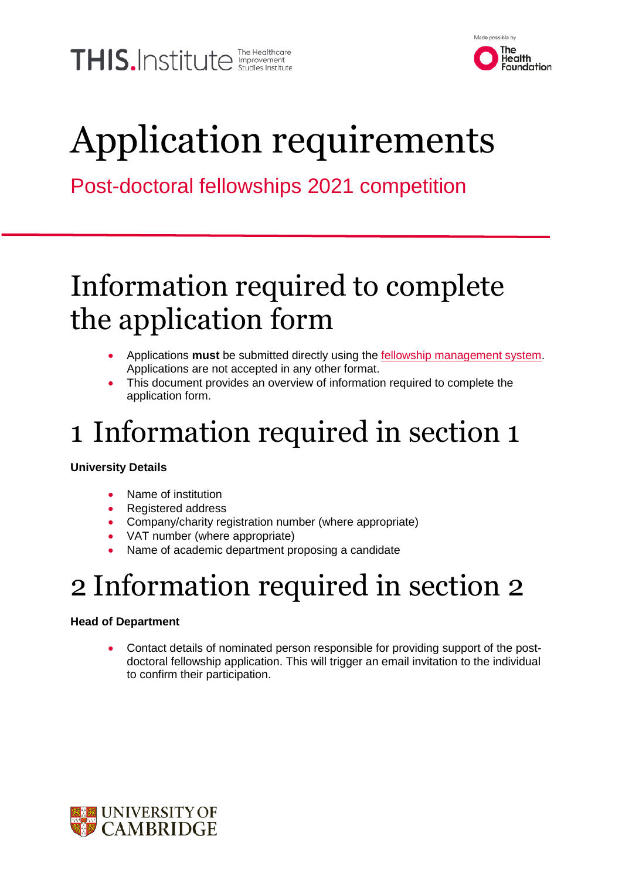THIS.Institute *Inter Healthcare* 



# Application requirements

### Post-doctoral fellowships 2021 competition

## Information required to complete the application form

- Applications **must** be submitted directly using the [fellowship management system.](https://thisinstitute.ccgranttracker.com/Login.aspx?ReturnUrl=%2f) Applications are not accepted in any other format.
- This document provides an overview of information required to complete the application form.

## 1 Information required in section 1

### **University Details**

- Name of institution
- Registered address
- Company/charity registration number (where appropriate)
- VAT number (where appropriate)
- Name of academic department proposing a candidate

## 2 Information required in section 2

### **Head of Department**

 Contact details of nominated person responsible for providing support of the postdoctoral fellowship application. This will trigger an email invitation to the individual to confirm their participation.

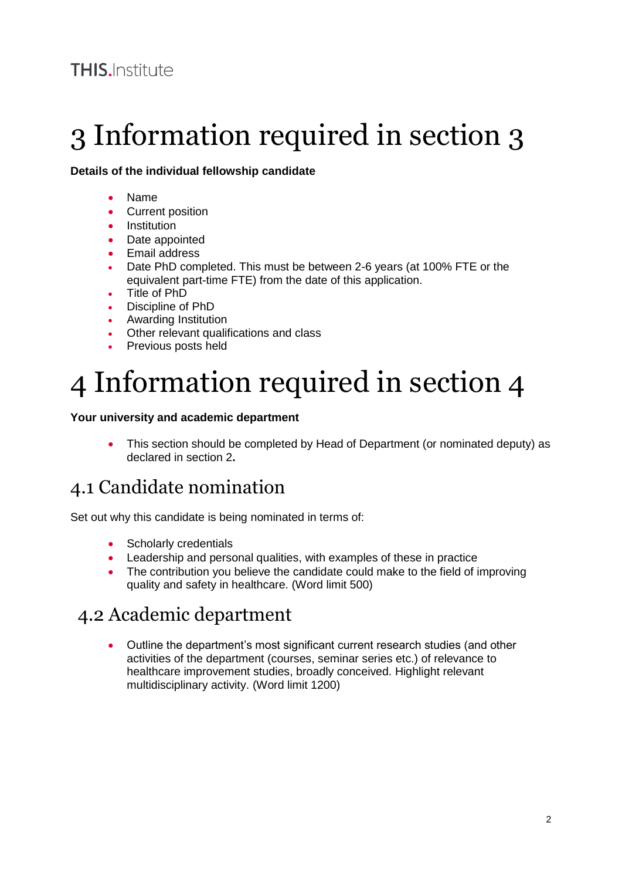## 3 Information required in section 3

#### **Details of the individual fellowship candidate**

- Name
- Current position
- **•** Institution
- Date appointed
- Email address
- Date PhD completed. This must be between 2-6 years (at 100% FTE or the equivalent part-time FTE) from the date of this application.
- Title of PhD
- Discipline of PhD
- Awarding Institution
- Other relevant qualifications and class
- Previous posts held

## 4 Information required in section 4

#### **Your university and academic department**

 This section should be completed by Head of Department (or nominated deputy) as declared in section 2**.**

### 4.1 Candidate nomination

Set out why this candidate is being nominated in terms of:

- Scholarly credentials
- Leadership and personal qualities, with examples of these in practice
- The contribution you believe the candidate could make to the field of improving quality and safety in healthcare. (Word limit 500)

### 4.2 Academic department

 Outline the department's most significant current research studies (and other activities of the department (courses, seminar series etc.) of relevance to healthcare improvement studies, broadly conceived. Highlight relevant multidisciplinary activity. (Word limit 1200)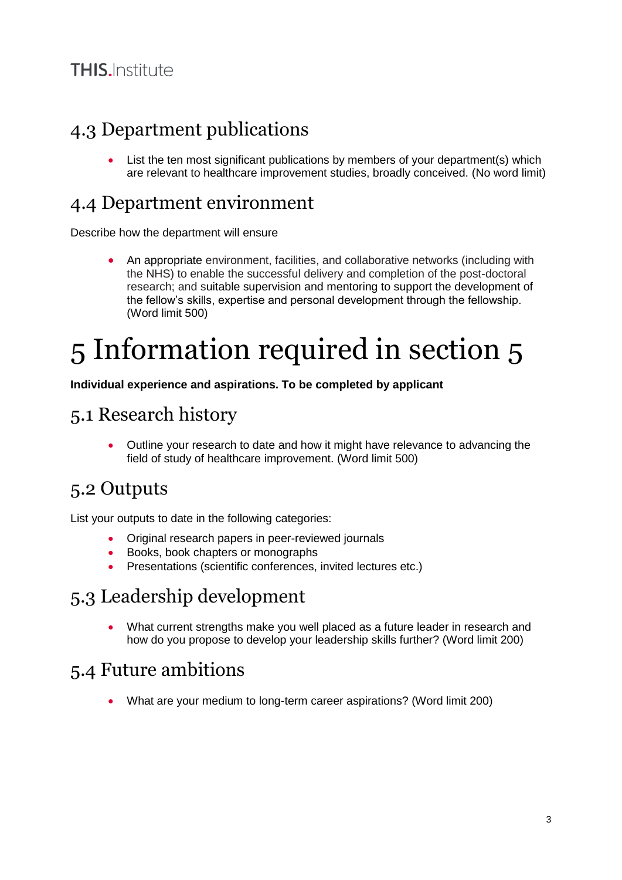### 4.3 Department publications

 List the ten most significant publications by members of your department(s) which are relevant to healthcare improvement studies, broadly conceived. (No word limit)

### 4.4 Department environment

Describe how the department will ensure

 An appropriate environment, facilities, and collaborative networks (including with the NHS) to enable the successful delivery and completion of the post-doctoral research; and suitable supervision and mentoring to support the development of the fellow's skills, expertise and personal development through the fellowship. (Word limit 500)

## 5 Information required in section 5

**Individual experience and aspirations. To be completed by applicant** 

### 5.1 Research history

 Outline your research to date and how it might have relevance to advancing the field of study of healthcare improvement. (Word limit 500)

### 5.2 Outputs

List your outputs to date in the following categories:

- Original research papers in peer-reviewed journals
- Books, book chapters or monographs
- **•** Presentations (scientific conferences, invited lectures etc.)

### 5.3 Leadership development

 What current strengths make you well placed as a future leader in research and how do you propose to develop your leadership skills further? (Word limit 200)

### 5.4 Future ambitions

What are your medium to long-term career aspirations? (Word limit 200)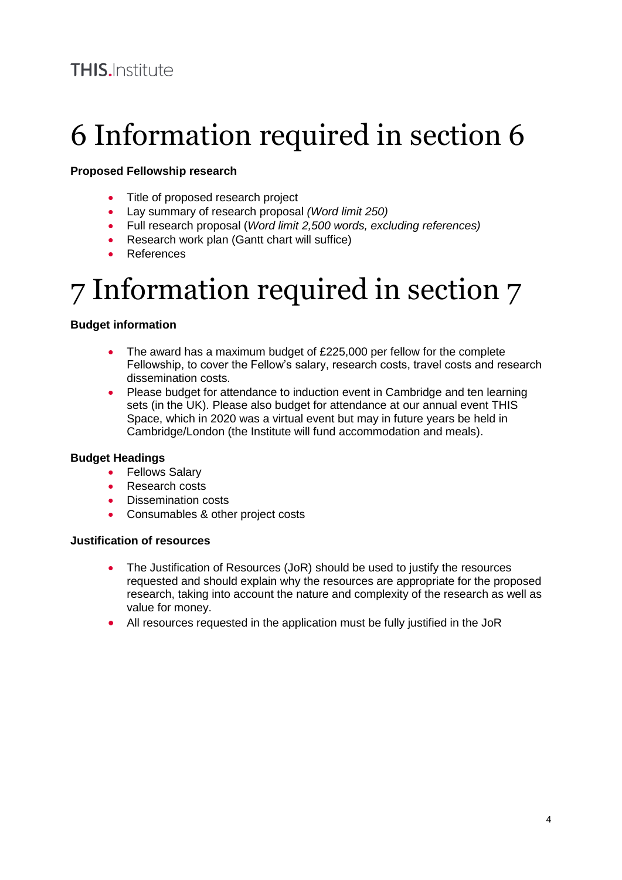## 6 Information required in section 6

#### **Proposed Fellowship research**

- Title of proposed research project
- Lay summary of research proposal *(Word limit 250)*
- Full research proposal (*Word limit 2,500 words, excluding references)*
- Research work plan (Gantt chart will suffice)
- **•** References

## 7 Information required in section 7

#### **Budget information**

- The award has a maximum budget of £225,000 per fellow for the complete Fellowship, to cover the Fellow's salary, research costs, travel costs and research dissemination costs.
- Please budget for attendance to induction event in Cambridge and ten learning sets (in the UK). Please also budget for attendance at our annual event THIS Space, which in 2020 was a virtual event but may in future years be held in Cambridge/London (the Institute will fund accommodation and meals).

#### **Budget Headings**

- Fellows Salary
- Research costs
- Dissemination costs
- Consumables & other project costs

#### **Justification of resources**

- The Justification of Resources (JoR) should be used to justify the resources requested and should explain why the resources are appropriate for the proposed research, taking into account the nature and complexity of the research as well as value for money.
- All resources requested in the application must be fully justified in the JoR